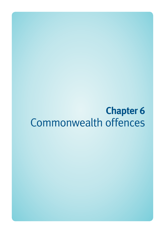# **Chapter 6**  Commonwealth offences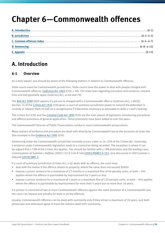# **Chapter 6—Commonwealth offences**

# **A. Introduction**

# **6-1 Overview**

As a duty lawyer, you should be aware of the following matters in relation to Commonwealth offences.

State courts exercise Commonwealth jurisdiction. State courts have the power to deal with people charged with Commonwealth offences (*[Judiciary Act 1903](http://www.comlaw.gov.au/Current/C2012C00176)* (Cth), s 58). The state laws regarding procedure and evidence, remand time and bail generally apply (Judiciary Act, ss 68 and 79).

The *[Bail Act 1980](http://www.legislation.qld.gov.au/LEGISLTN/CURRENT/B/BailA80.pdf)* (Qld) applies if a person is charged with a Commonwealth offence (Judiciary Act, s 68(1)). Section 15 of the *[Crimes Act 1914](http://www.comlaw.gov.au/Current/C2012C00416)* (Cth) gives a court of summary jurisdiction power to remand the defendant in custody or release them on bail on a recognisance if it becomes necessary or advisable to defer a case's hearing.

The Crimes Act (Cth) and the *[Criminal Code Act 1995](http://www.comlaw.gov.au/Current/C2012C00547)* (Cth) are the main pieces of legislation introducing procedural and offence provisions of general application. These provisions have been added to over the years.

The Commonwealth Director of Public Prosecutions conducts most Commonwealth prosecutions.

Many matters of evidence and procedure are dealt with directly by Commonwealth law to the exclusion of state law. One example is the *[Evidence Act 1995](http://www.comlaw.gov.au/Current/C2012C00518)* (Cth).

Sentencing under the Commonwealth jurisdiction normally occurs under ss 16–22A of the Crimes Act. Generally, a sentence under Commonwealth legislation leads to a conviction being recorded. The exception is where it can be argued that s 19B of the Crimes Act applies. You should be familiar with s 19B provisions and the leading case, *Commissioner of Taxation v Baffsky* (2001) 122 A Crim R 568 [\[2001\] NSWCCA 332](http://www.austlii.edu.au/au/cases/nsw/NSWCCA/2001/332.html), also discussed in *CEO Customs v Odesnik* [\[2010\] QMC 3](http://archive.sclqld.org.au/qjudgment/2010/QMC10-3.pdf).

If a court of summary jurisdiction (Crimes Act, s 4J) deals with an offence, the court may:

- deal with the matter if the offence relates to property, where the value does not exceed \$5000
- impose a prison sentence for a maximum of 12 months or a maximum fine of 60 penalty units, or both this applies where the offence is punishable by imprisonment for 5 years or less
- impose a prison sentence for a maximum of 2 years or a maximum fine of 120 penalty units, or both this applies where the offence is punishable by imprisonment for more than 5 years but no more than 10 years.

If a person is convicted of two or more Commonwealth offences against the same provision of a Commonwealth law, the court can impose one penalty for both or all the offences.

Usually, Commonwealth offences can be dealt with summarily only if they attract a maximum of 10 years, and both prosecutor and defendant agree to have the matters dealt with summarily.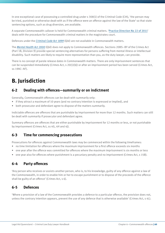In one exceptional case of possessing a controlled drug under s 308(1) of the Criminal Code (Cth), 'the person may be tried, punished or otherwise dealt with as if the offence were an offence against the law of the State' so that state sentencing options, such as drug diversion, are available.

A separate Commonwealth callover is held for Commonwealth criminal matters. '[Practice Direction No 22 of 2011'](http://www.courts.qld.gov.au/__data/assets/pdf_file/0007/109168/mc-pd-22of2011.pdf) deals with the procedure for Commonwealth criminal matters in the magistrates court.

Defences under the *[Criminal Code Act 1899](http://www.legislation.qld.gov.au/LEGISLTN/CURRENT/C/CriminCode.pdf)* (Qld) are not available in Commonwealth matters.

The *[Mental Health Act 2000](http://www.legislation.qld.gov.au/LEGISLTN/CURRENT/M/MentalHealthA00.pdf)* (Qld) does not apply to Commonwealth offences. Sections 20BS–BY of the Crimes Act (Part 1B, Division 9) provide special sentencing alternatives for persons suffering from mental illness or intellectual disability. Such matters are likely to require more representation than you, as the duty lawyer, can provide.

There is no concept of parole release dates in Commonwealth matters. There are only imprisonment sentences that can be suspended immediately (Crimes Act, s 20(1)(b)) or after an imprisonment period has been served (Crimes Act, ss 19AC–AF).

# **B. Jurisdiction**

### **6-2 Dealing with offences—summarily or on indictment**

Generally, Commonwealth offences can be dealt with summarily only:

- if they attract a maximum of 10 years (and no contrary intention is expressed or implied), and
- both prosecutor and defendant agree to dispose of the matters summarily.

Indictable offences are offences that are punishable by imprisonment for more than 12 months. Such matters can still be dealt with summarily if prosecutor and defendant agree.

Summary offences are offences that are either punishable by imprisonment for 12 months or less, or not punishable by imprisonment (Crimes Act, ss 4G, 4H and 4J).

# **6-3 Time for commencing prosecutions**

Prosecutions for offences against Commonwealth laws may be commenced within the following timeframes:

- no time limitation for offences where the maximum imprisonment for a first offence exceeds six months
- one year after the offence was committed for offences where the maximum imprisonment is six months or less
- one year also for offences where punishment is a pecuniary penalty and no imprisonment (Crimes Act, s 15B).

# **6-4 Party offences**

'Any person who receives or assists another person, who is, to his knowledge, guilty of any offence against a law of the Commonwealth, in order to enable him or her to escape punishment or to dispose of the proceeds of the offence shall be guilty of an offence' (Crimes Act, s 6).

# **6-5 Defences**

'Where a provision of a law of the Commonwealth provides a defence to a particular offence, the provision does not, unless the contrary intention appears, prevent the use of any defence that is otherwise available' (Crimes Act, s 4L).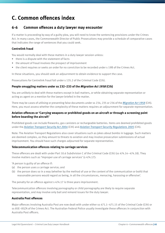# **C. Common offences index**

# **6-6 Common offences a duty lawyer may encounter**

If a matter is proceeding by way of a guilty plea, you will need to know the sentencing provisions under the Crimes Act. In many cases, the Commonwealth Director of Public Prosecutions may provide a schedule of comparative cases that indicates the range of sentences that you could seek.

#### **Centrelink fraud**

You would normally deal with these matters in a duty lawyer session unless:

- there is a dispute with the statement of facts
- the amount of fraud involves the prospect of imprisonment
- the client requires or seeks an order for no conviction to be recorded under s 19B of the Crimes Act.

In these situations, you should seek an adjournment to obtain evidence to support the case.

Prosecutions for Centrelink fraud fall under s 135.2 of the Criminal Code (Cth).

#### **People smuggling matters under ss 232–233 of the** *Migration Act 1958* **(Cth)**

You are unlikely to deal with these matters except in bail matters, or while obtaining separate representation or acting as agent on a mention for the lawyer briefed in the matter.

There may be cases of utilising or presenting false documents under ss 234, 235 or 236 of the *[Migration Act 1958](http://www.comlaw.gov.au/Current/C2012C00331)* (Cth). Here, you must assess whether the complexity of these matters requires an adjournment for separate representation.

#### **Aviation offences or 'Carrying weapons or prohibited goods on an aircraft or through a screening point before boarding the aircraft'**

Prohibited goods can include fireworks, gas canisters or rechargeable batteries. Items are deemed prohibited goods under the *[Aviation Transport Security Act 2004](http://www.comlaw.gov.au/Current/C2012C00489)* (Cth) and *[Aviation Transport Security Regulations 2005](http://www.comlaw.gov.au/Current/F2010C00817)* (Cth).

Note: The Aviation Transport Regulations also cover situations such as jokes about bombs in luggage. Such matters are deemed complex, as they amount to threats to aviation and may involve prosecution submissions of actual imprisonment. You should have such charges adjourned for separate representation.

#### **Telecommunication offences relating to carriage services**

These offences are dealt with under Part 10.6 Subdivision C of the Criminal Code (Cth) (ss 474.14–474.18). They involve matters such as 'Improper use of carriage services' (s 474.17):

'A person is guilty of an offence if:

- (a) the person uses a carriage service; and
- (b) the person does so in a way (whether by the method of use or the content of the communication or both) that reasonable persons would regard as being, in all the circumstances, menacing, harassing or offensive'.

The penalty for an offence against s 474.17 is three years imprisonment.

Telecommunication offences involving pornography or child pornography are likely to require separate representation, and may involve only bail and remand issues for the duty lawyer.

#### **Australia Post offences**

Major offences involving Australia Post are now dealt with under either ss 471.1–471.15 of the Criminal Code (Cth) or ss 85E–85ZA of the Crimes Act. The Australian Federal Police usually investigate these offences in conjunction with Australia Post officers.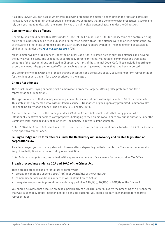As a duty lawyer, you can assess whether to deal with or remand the matter, depending on the facts and amounts involved. You should obtain the schedule of comparative sentences that the Commonwealth prosecutor is seeking to rely on if you intend to deal with the matter by way of a guilty plea. Sentencing falls under the Crimes Act.

#### **Commonwealth drug offences**

Generally, you would deal with matters under s 308.1 of the Criminal Code (Cth) (i.e. possession of a controlled drug) only where 'a person may be tried punished or otherwise dealt with as if the offence were an offence against the law of the State' so that state sentencing options such as drug diversion are available. The meaning of 'possession' is similar to that under the *[Drugs Misuse Act 1986](http://www.legislation.qld.gov.au/LEGISLTN/CURRENT/D/DrugsMisuseA86.pdf)* (Qld).

Most Commonwealth drug offences under the Criminal Code (Cth) are listed as 'serious' drug offences and beyond the duty lawyer's scope. The schedules of controlled, border controlled, marketable, commercial and trafficable amounts of the relevant drugs are listed in Chapter 9, Part 9.1 of the Criminal Code (Cth). These include importing or exporting narcotic drugs and related offences, such as possessing narcotic drugs that have been imported.

You are unlikely to deal with any of these charges except to consider issues of bail, secure longer term representation for the client or act as agent for a lawyer briefed in the matter.

#### **Crimes Act offences**

These include destroying or damaging Commonwealth property, forgery, uttering false pretences and false representations (imposition).

The types of offences that you may commonly encounter include offences of trespass under s 89 of the Crimes Act. This states that any 'person who, without lawful excuse…, trespasses or goes upon any prohibited Commonwealth land shall be guilty of an offence'. The penalty is 10 penalty units.

Another offence could be wilful damage under s 29 of the Crimes Act, which states that '[a]ny person who intentionally destroys or damages any property...belonging to the Commonwealth or to any public authority under the Commonwealth, shall be guilty of an offence'. The penalty is 10 years' imprisonment.

Note s 17B of the Crimes Act, which restricts prison sentences on certain minor offences, for which s 29 of the Crimes Act is specifically mentioned.

#### **Failing to lodge return form offences under the Bankruptcy Act, insolvency and trustee legislation or corporations law**

As a duty lawyer, you can usually deal with these matters, depending on their complexity. The sentences normally sought are hefty fines with the recording of a conviction.

Note: Failure to lodge tax returns is dealt with separately under specific callovers for the Australian Tax Office.

#### **Breach proceedings under ss 20A and 20AC of the Crimes Act**

These breach proceedings are for failure to comply with:

- probation conditions under ss  $19B(1)(d)(iii)$  or  $20(1)(a)(iv)$  of the Crimes Act
- community service conditions under s 20AB(1) of the Crimes Act, or
- recognisance proceedings conditions under any part of ss 19B(1)(d), 20(1)(a) or 20(1)(b) of the Crimes Act.

You should be aware that because breaches, particularly of s 20(1)(b) orders, involve the breaching of a prison term that was suspended, actual imprisonment is a possible outcome. You should adjourn such matters for separate representation.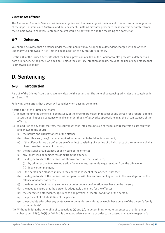#### **Customs Act offences**

The Australian Customs Service has an investigative arm that investigates breaches of criminal law in the regulation of the import of items into Australia and duty payment. Customs may now prosecute these matters separately from the Commonwealth callover. Sentences sought would be hefty fines and the recording of a conviction.

### **6-7 Defences**

You should be aware that a defence under the common law may be open to a defendant charged with an offence under any Commonwealth Act. This will be in addition to any statutory defence.

Section 4L of the Crimes Act states that '[w]here a provision of a law of the Commonwealth provides a defence to a particular offence, the provision does not, unless the contrary intention appears, prevent the use of any defence that is otherwise available'.

# **D. Sentencing**

### **6-8 Introduction**

Part 1B of the Crimes Act (ss 16–22A) now deals with sentencing. The general sentencing principles are contained in ss 16 and 17A.

Following are matters that a court will consider when passing sentence.

Section 16A of the Crimes Act states:

- '(1) In determining the sentence to be passed, or the order to be made, in respect of any person for a federal offence, a court must impose a sentence or make an order that is of a severity appropriate in all the circumstances of the offence.
- (2) In addition to any other matters, the court must take into account such of the following matters as are relevant and known to the court:
	- (a) the nature and circumstances of the offence;
	- (b) other offences (if any) that are required or permitted to be taken into account;
	- (c) if the offence forms part of a course of conduct consisting of a series of criminal acts of the same or a similar character—that course of conduct;
	- (d) the personal circumstances of any victim of the offence;
	- (e) any injury, loss or damage resulting from the offence;
	- (f) the degree to which the person has shown contrition for the offence;
		- (i) by taking action to make reparation for any injury, loss or damage resulting from the offence; or (ii) in any other manner;…
	- (g) if the person has pleaded guilty to the charge in respect of the offence—that fact;
	- (h) the degree to which the person has co-operated with law enforcement agencies in the investigation of the offence or of other offences;
	- (j) the deterrent effect that any sentence or order under consideration may have on the person;
	- (k) the need to ensure that the person is adequately punished for the offence;
	- (m) the character, antecedents, age, means and physical or mental condition of the person;
	- (n) the prospect of rehabilitation of the person;
	- (p) the probable effect that any sentence or order under consideration would have on any of the person's family or dependants'.
- '(3) Without limiting the generality of subsections (1) and (2), in determining whether a sentence or order under subsection 19B(1), 20(1) or 20AB(1) is the appropriate sentence or order to be passed or made in respect of a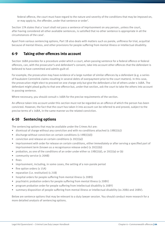federal offence, the court must have regard to the nature and severity of the conditions that may be imposed on, or may apply to, the offender, under that sentence or order'.

Section 17A states that a 'court shall not pass a sentence of imprisonment on any person…unless the court, after having considered all other available sentences, is satisfied that no other sentence is appropriate in all the circumstances of the case'.

Apart from various sentencing options, Part 1B also deals with matters such as parole, unfitness for trial, acquittal because of mental illness, and other provisions for people suffering from mental illness or intellectual disability.

# **6-9 Taking other offences into account**

Section 16BA provides for a procedure under which a court, when passing sentence for a federal offence or federal offences, can, with the prosecutor's and defendant's consent, take into account other offences that the defendant is believed to have committed and admits guilt of.

For example, the prosecution may have evidence of a large number of similar offences by a defendant (e.g. a series of fraudulent Centrelink claims resulting in several debts of overpayment prior to the court matters). In this case, the prosecution might elect to proceed on one charge only but give the defendant a list of others under s 16BA. The defendant might plead guilty to that one offence but, under that section, ask the court to take the others into account in passing sentence.

Where necessary, you should consult s 16BA for the precise requirements of the section.

An offence taken into account under this section must not be regarded as an offence of which the person has been convicted. However, the fact that the court has taken it into account can be referred to and proved, subject to the precise terms of s 16BA, in the same manner as the related conviction.

# **6-10 Sentencing options**

The sentencing options that may be available under the Crimes Act are:

- dismissal of charge without any conviction and with no conditions attached (s  $19B(1)(c)$ )
- discharge without conviction on certain conditions (s  $19B(1)(d)$ )
- conviction and release on certain conditions (s 20(1)(a))
- imprisonment with order for release on certain conditions, either immediately or after serving a specified part of imprisonment term (known as a recognisance release order) (s 20(1)(b))
- probation, as one of the conditions of an order under either ss 19B(1)(d), or 20(1)(a) or (b)
- community service (s 20AB)
- fines
- imprisonment, including, in some cases, the setting of a non-parole period
- fine option orders (s 15A)
- reparation (i.e. restitution) (s 21B)
- hospital orders for people suffering from mental illness (s 20BS)
- psychiatric probation orders for people suffering from mental illness (s 20BV)
- program probation order for people suffering from intellectual disability (s 20BY)
- summary disposition of people suffering from mental illness or intellectual disability (ss 20BU and 20BV).

Below are sentence options that may be relevant to a duty lawyer session. You should conduct more research for a more detailed analysis of sentencing options.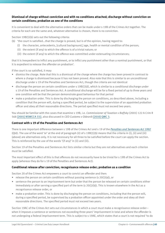#### **Dismissal of charge without conviction and with no conditions attached; discharge without conviction on certain conditions; probation as one of the conditions**

It is convenient to deal with the alternative orders that can be made under s 19B of the Crimes Act together. The criteria for each are the same and, whatever alternative is chosen, there is no conviction.

Section 19B(1)(b) sets out the following criteria:

- (b) 'the court is satisfied...that the charge is proved, but is of the opinion, having regard to:
	- (i) the character, antecedents, [cultural background,] age, health or mental condition of the person;
	- (ii) the extent (if any) to which the offence is of a trivial nature; or
	- (iii) the extent (if any) to which the offence was committed under extenuating circumstances;

that it is inexpedient to inflict any punishment, or to inflict any punishment other than a nominal punishment, or that it is expedient to release the offender on probation'.

If the court is so satisfied, it may:

- dismiss the charge. Note that this is a dismissal of the charge where the charge has been proved in contrast to where a charge is dismissed because it has not been proved. Also note that this is similar to an unconditional discharge under s 19 of the Penalties and Sentences Act, though the criteria are not identical
- discharge the person on certain conditions under s 19B(1)(d), which is similar to a conditional discharge under s 19 of the Penalties and Sentences Act. A conditional discharge will be for a fixed period of up to three years and one condition will be that the person demonstrate good behaviour for that period
- make a probation order. This is done by discharging the person on conditions, as described above, including a condition that the person will, during a specified period, be subject to the supervision of an appointed probation officer and obey all their reasonable directions. The period specified must not exceed two years.

You should be familiar with the cases that examine s 19B, i.e. *Commissioner of Taxation v Baffsky* (2001) 122 A Crim R 568 [\[2001\] NSWCCA 332](http://www.austlii.edu.au/au/cases/nsw/NSWCCA/2001/332.html), also discussed in *CEO Customs v Odesnik* [\[2010\] QMC 3](http://archive.sclqld.org.au/qjudgment/2010/QMC10-3.pdf).

#### **Contrast with s 19 of the Penalties and Sentences Act**

There is one important difference between s 19B of the Crimes Act and s 19 of the *[Penalties and Sentences Act 1992](http://www.legislation.qld.gov.au/LEGISLTN/CURRENT/P/PenaltASenA92.pdf)* (Qld). The use of the word 'or' at the end of paragraph (ii) of s 19B(1)(b) means that the criteria in (i), (ii) and (iii) (above) are alternatives only. It is not necessary for all three to be satisfied before the court can apply the section. This is reinforced by the use of the words '(if any)' in (ii) and (iii).

Section 19 of the Penalties and Sentences Act lists similar criteria but they are not alternatives and each criterion must be satisfied.

The most important effect of this is that offences do not necessarily have to be trivial for s 19B of the Crimes Act to apply (whereas they do for s 19 of the Penalties and Sentences Act).

#### **Conditional release after conviction; recognisance release order; probation as a condition**

Section 20 of the Crimes Act empowers a court to convict an offender and then:

- release the person on certain conditions without passing sentence (s  $20(1)(a)$ ), or
- sentence the person to an imprisonment term but order that the person be released on certain conditions either immediately or after serving a specified part of the term  $(s 20(1)(b))$ . This is known elsewhere in the Act as a recognisance release order, or
- make a probation order. This is done by discharging the person on conditions, including that the person will, during a specified period, be supervised by a probation officer appointed under the order and obey all their reasonable directions. The specified period must not exceed two years.

Section 19AC of the Crimes Act sets out circumstances in which a court must make a recognisance release order when it imposes a sentence or sentences not exceeding three years' imprisonment in total and where the offender is not undergoing a federal imprisonment term. This is subject to s 19AE, which states that a court is not required 'to do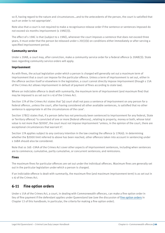so if, having regard to the nature and circumstances…and to the antecedents of the person, the court is satisfied that such an order is not appropriate'.

Note also that a court is not required to make a recognisance release order if the sentence or sentences imposed do not exceed six months imprisonment (s 19AE(3)).

The effect of s 19AC is that (subject to s 19AE), whenever the court imposes a sentence that does not exceed three years, it must order that the person be released under s 20(1)(b) on conditions either immediately or after serving a specified imprisonment period.

#### **Community service**

Under s 20AB, a court may, after conviction, make a community service order for a federal offence (s 20AB(3)). State laws regarding community service orders will apply.

#### **Imprisonment**

As with fines, the actual legislation under which a person is charged will generally set out a maximum term of imprisonment that a court can impose for the particular offence. Unless a term of imprisonment is set out, either in the offence section itself or elsewhere in the legislation, a court cannot directly impose imprisonment (though s 15A of the Crimes Act allows imprisonment in default of payment of fines according to state law).

Where an indictable offence is dealt with summarily, the maximum term of imprisonment (and maximum fine) that may be imposed is as set out in s 4J of the Crimes Act.

Section 17A of the Crimes Act states that '[a] court shall not pass a sentence of imprisonment on any person for a federal offence…unless the court, after having considered all other available sentences, is satisfied that no other sentence is appropriate in all the circumstances of the case'.

Section 17B(1) states that, if a person (who has not previously been sentenced to imprisonment for any federal, State or Territory offence) 'is convicted of one or more [federal offences]…relating to property, money or both, whose total value is not more than \$2000', the court must not impose imprisonment 'unless, in the opinion of the court, there are exceptional circumstances that warrant it'.

Section 17A applies subject to any contrary intention in the law creating the offence (s 17A(4)). In determining whether the \$2000 limit referred to above has been reached, other offences taken into account in sentencing under s 16BA should also be considered.

Note that ss 16E–19AA of the Crimes Act cover other aspects of imprisonment sentences, including when sentences are to commence; cumulative, partly cumulative, or concurrent sentences; and remissions.

#### **Fines**

The maximum fines for particular offences are set out under the individual offences. Maximum fines are generally set out in the particular legislation under which a person is charged.

If an indictable offence is dealt with summarily, the maximum fine (and maximum imprisonment term) is as set out in s 4J of the Crimes Act.

### **6-11 Fine option orders**

Under s 15A of the Crimes Act, a court, in dealing with Commonwealth offences, can make a fine option order in lieu of fine payment if the defendant applies under Queensland law (see the discussion of fine option orders in Chapter 13 of this handbook; in particular, the criteria for making a fine option order).